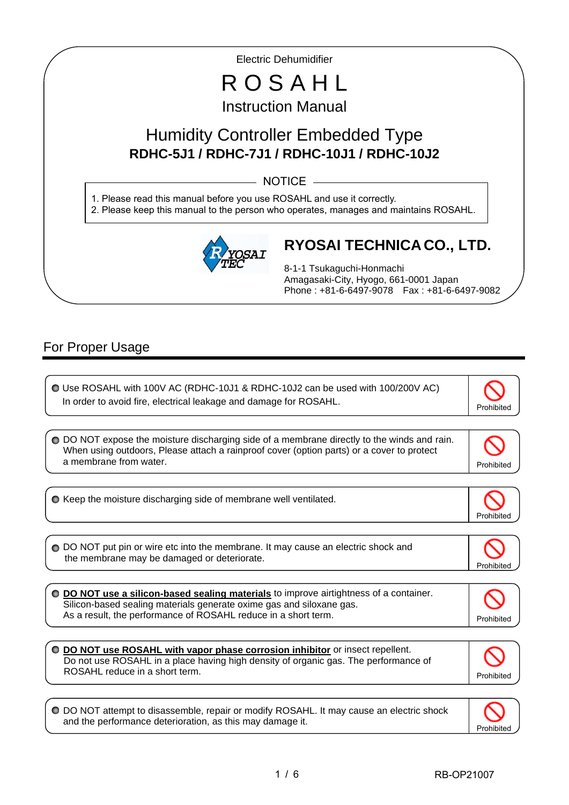Electric Dehumidifier

# R O S A H L Instruction Manual

## Humidity Controller Embedded Type **RDHC-5J1 / RDHC-7J1 / RDHC-10J1 / RDHC-10J2**

 $-$  NOTICE  $-$ 

1. Please read this manual before you use ROSAHL and use it correctly. 2. Please keep this manual to the person who operates, manages and maintains ROSAHL.



### **RYOSAI TECHNICA CO., LTD.**

8-1-1 Tsukaguchi-Honmachi Amagasaki-City, Hyogo, 661-0001 Japan Phone : +81-6-6497-9078 Fax : +81-6-6497-9082

### For Proper Usage

I

I

ľ

 Use ROSAHL with 100V AC (RDHC-10J1 & RDHC-10J2 can be used with 100/200V AC) In order to avoid fire, electrical leakage and damage for ROSAHL.  $\bullet$  Keep the moisture discharging side of membrane well ventilated. Prohibited O DO NOT expose the moisture discharging side of a membrane directly to the winds and rain. When using outdoors, Please attach a rainproof cover (option parts) or a cover to protect a membrane from water. The contract of the contract of the contract of the contract of the contract of the contract of the contract of the contract of the contract of the contract of the contract of the contract of the con ◯ DO NOT put pin or wire etc into the membrane. It may cause an electric shock and the membrane may be damaged or deteriorate. Prohibited **DO NOT use a silicon-based sealing materials** to improve airtightness of a container. Silicon-based sealing materials generate oxime gas and siloxane gas. As a result, the performance of ROSAHL reduce in a short term.

**DO NOT use ROSAHL with vapor phase corrosion inhibitor** or insect repellent. Do not use ROSAHL in a place having high density of organic gas. The performance of ROSAHL reduce in a short term.  $\overline{a}$ Prohibited

DO NOT attempt to disassemble, repair or modify ROSAHL. It may cause an electric shock and the performance deterioration, as this may damage it.

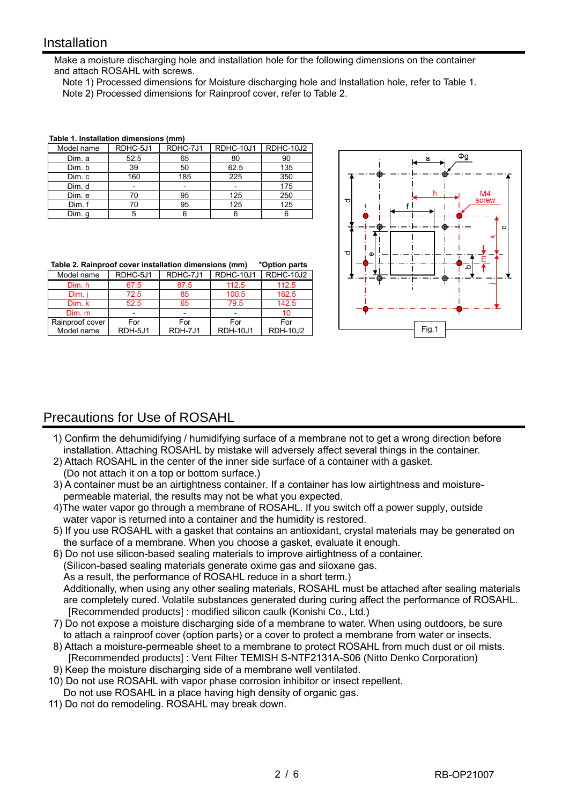#### **Installation**

I

Make a moisture discharging hole and installation hole for the following dimensions on the container and attach ROSAHL with screws.

 Note 1) Processed dimensions for Moisture discharging hole and Installation hole, refer to Table 1. Note 2) Processed dimensions for Rainproof cover, refer to Table 2.

| Model name | RDHC-5J1 | RDHC-7J1 | RDHC-10J1 | RDHC-10J2 |
|------------|----------|----------|-----------|-----------|
| Dim. a     | 52.5     | 65       | 80        | 90        |
| Dim. b     | 39       | 50       | 62.5      | 135       |
| Dim. c     | 160      | 185      | 225       | 350       |
| Dim. d     |          |          |           | 175       |
| Dim. e     | 70       | 95       | 125       | 250       |
| Dim. f     | 70       | 95       | 125       | 125       |
| Dim. q     |          |          |           |           |

#### **Table 1. Installation dimensions (mm)**

|  |  | Table 2. Rainproof cover installation dimensions (mm) | *Option parts |  |
|--|--|-------------------------------------------------------|---------------|--|
|  |  |                                                       |               |  |

| Model name      | RDHC-5J1                 | RDHC-7J1 | RDHC-10J1       | RDHC-10J2       |
|-----------------|--------------------------|----------|-----------------|-----------------|
| Dim. h          | 67.5                     | 87.5     | 112.5           | 112.5           |
| Dim.            | 72.5                     | 85       | 100.5           | 162.5           |
| Dim. k          | 52.5                     | 65       | 79.5            | 142.5           |
| Dim. m          | $\overline{\phantom{0}}$ |          |                 | 10              |
| Rainproof cover | For                      | For      | For             | For             |
| Model name      | RDH-5J1                  | RDH-7J1  | <b>RDH-10J1</b> | <b>RDH-10J2</b> |



### Precautions for Use of ROSAHL

- 1) Confirm the dehumidifying / humidifying surface of a membrane not to get a wrong direction before installation. Attaching ROSAHL by mistake will adversely affect several things in the container.
- 2) Attach ROSAHL in the center of the inner side surface of a container with a gasket. (Do not attach it on a top or bottom surface.)
- 3) A container must be an airtightness container. If a container has low airtightness and moisturepermeable material, the results may not be what you expected.
- 4)The water vapor go through a membrane of ROSAHL. If you switch off a power supply, outside water vapor is returned into a container and the humidity is restored.
- 5) If you use ROSAHL with a gasket that contains an antioxidant, crystal materials may be generated on the surface of a membrane. When you choose a gasket, evaluate it enough.
- 6) Do not use silicon-based sealing materials to improve airtightness of a container. (Silicon-based sealing materials generate oxime gas and siloxane gas. As a result, the performance of ROSAHL reduce in a short term.) Additionally, when using any other sealing materials, ROSAHL must be attached after sealing materials
- are completely cured. Volatile substances generated during curing affect the performance of ROSAHL. [Recommended products] : modified silicon caulk (Konishi Co., Ltd.)
- 7) Do not expose a moisture discharging side of a membrane to water. When using outdoors, be sure to attach a rainproof cover (option parts) or a cover to protect a membrane from water or insects.
- 8) Attach a moisture-permeable sheet to a membrane to protect ROSAHL from much dust or oil mists. [Recommended products] : Vent Filter TEMISH S-NTF2131A-S06 (Nitto Denko Corporation)
- 9) Keep the moisture discharging side of a membrane well ventilated.
- 10) Do not use ROSAHL with vapor phase corrosion inhibitor or insect repellent. Do not use ROSAHL in a place having high density of organic gas.
- 11) Do not do remodeling. ROSAHL may break down.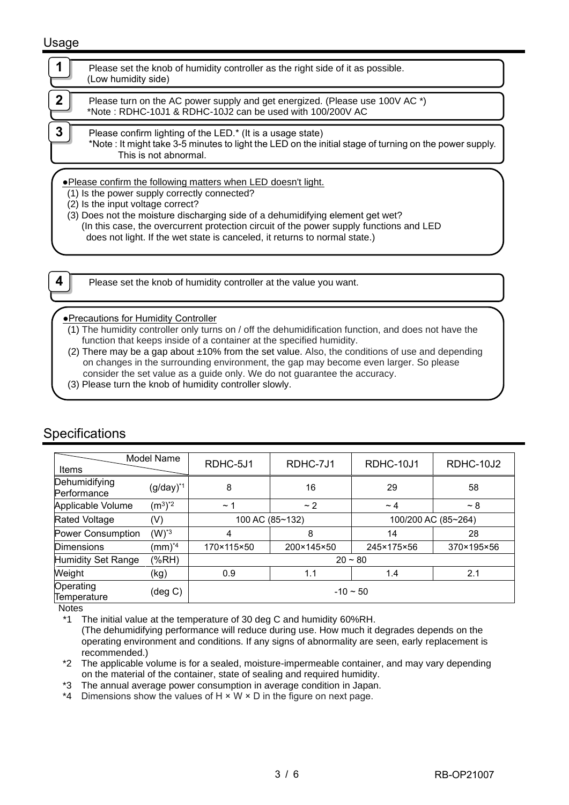#### Usage

|                                                                                                                                                                                                                                                                                                                                                                                                               | Please set the knob of humidity controller as the right side of it as possible.<br>(Low humidity side)                                                                                         |  |  |  |  |
|---------------------------------------------------------------------------------------------------------------------------------------------------------------------------------------------------------------------------------------------------------------------------------------------------------------------------------------------------------------------------------------------------------------|------------------------------------------------------------------------------------------------------------------------------------------------------------------------------------------------|--|--|--|--|
| $\mathbf 2$                                                                                                                                                                                                                                                                                                                                                                                                   | Please turn on the AC power supply and get energized. (Please use 100V AC *)<br>*Note: RDHC-10J1 & RDHC-10J2 can be used with 100/200V AC                                                      |  |  |  |  |
| 3                                                                                                                                                                                                                                                                                                                                                                                                             | Please confirm lighting of the LED.* (It is a usage state)<br>*Note : It might take 3-5 minutes to light the LED on the initial stage of turning on the power supply.<br>This is not abnormal. |  |  |  |  |
| .Please confirm the following matters when LED doesn't light.<br>(1) Is the power supply correctly connected?<br>(2) Is the input voltage correct?<br>(3) Does not the moisture discharging side of a dehumidifying element get wet?<br>(In this case, the overcurrent protection circuit of the power supply functions and LED<br>does not light. If the wet state is canceled, it returns to normal state.) |                                                                                                                                                                                                |  |  |  |  |

**4 Please set the knob of humidity controller at the value you want.** 

#### ●Precautions for Humidity Controller

- (1) The humidity controller only turns on / off the dehumidification function, and does not have the function that keeps inside of a container at the specified humidity.
- (2) There may be a gap about  $±10\%$  from the set value. Also, the conditions of use and depending on changes in the surrounding environment, the gap may become even larger. So please consider the set value as a guide only. We do not guarantee the accuracy.
- (3) Please turn the knob of humidity controller slowly.

| Model Name                   |                        |               |                 |            |                     |
|------------------------------|------------------------|---------------|-----------------|------------|---------------------|
| Items                        |                        | RDHC-5J1      | RDHC-7J1        | RDHC-10J1  | RDHC-10J2           |
| Dehumidifying<br>Performance | $(g/day)^{*1}$         | 8             | 16              | 29         | 58                  |
| Applicable Volume            | $(m^3)^*$ <sup>2</sup> | $~\sim$ 1     | ~2              | $\sim$ 4   | ~28                 |
| <b>Rated Voltage</b>         | (V)                    |               | 100 AC (85~132) |            | 100/200 AC (85~264) |
| Power Consumption            | $(W)^*$ <sup>3</sup>   | 4             | 8               | 14         | 28                  |
| Dimensions                   | $(mm)^{*4}$            | 170×115×50    | 200×145×50      | 245×175×56 | 370×195×56          |
| Humidity Set Range           | (%RH)                  |               | $20 - 80$       |            |                     |
| Weight                       | (kg)                   | 0.9           | 1.1             | 1.4        | 2.1                 |
| Operating<br>Temperature     | $(\text{deg } C)$      | $-10 \sim 50$ |                 |            |                     |

### **Specifications**

**Notes** 

\*1 The initial value at the temperature of 30 deg C and humidity 60%RH.

(The dehumidifying performance will reduce during use. How much it degrades depends on the operating environment and conditions. If any signs of abnormality are seen, early replacement is recommended.)

\*2 The applicable volume is for a sealed, moisture-impermeable container, and may vary depending on the material of the container, state of sealing and required humidity.

\*3 The annual average power consumption in average condition in Japan.

\*4 Dimensions show the values of  $H \times W \times D$  in the figure on next page.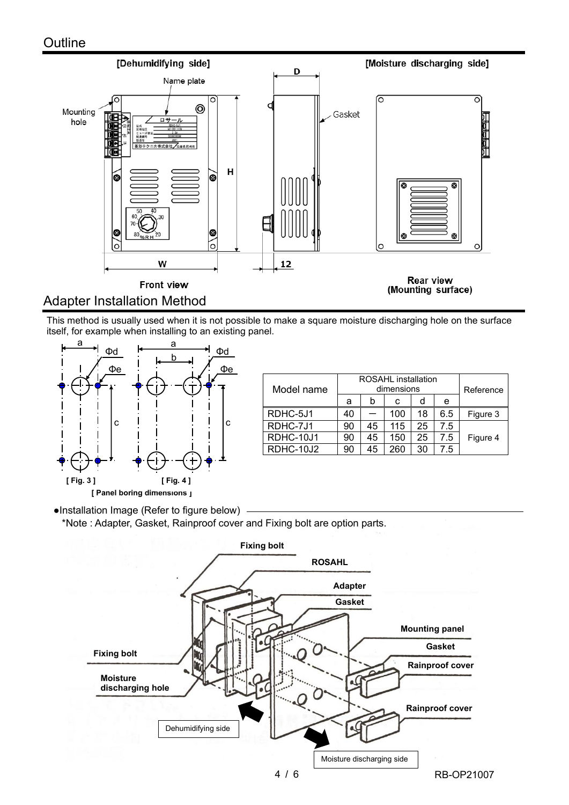

This method is usually used when it is not possible to make a square moisture discharging hole on the surface itself, for example when installing to an existing panel.



| Model name | <b>ROSAHL</b> installation<br>dimensions |    |     |    |     | Reference |
|------------|------------------------------------------|----|-----|----|-----|-----------|
|            | a                                        | b  | С   | d  | e   |           |
| RDHC-5J1   | 40                                       |    | 100 | 18 | 6.5 | Figure 3  |
| RDHC-7J1   | 90                                       | 45 | 115 | 25 | 7.5 |           |
| RDHC-10J1  | 90                                       | 45 | 150 | 25 | 7.5 | Figure 4  |
| RDHC-10J2  | 90                                       | 45 | 260 | 30 | 7.5 |           |

●Installation Image (Refer to figure below)

\*Note : Adapter, Gasket, Rainproof cover and Fixing bolt are option parts.

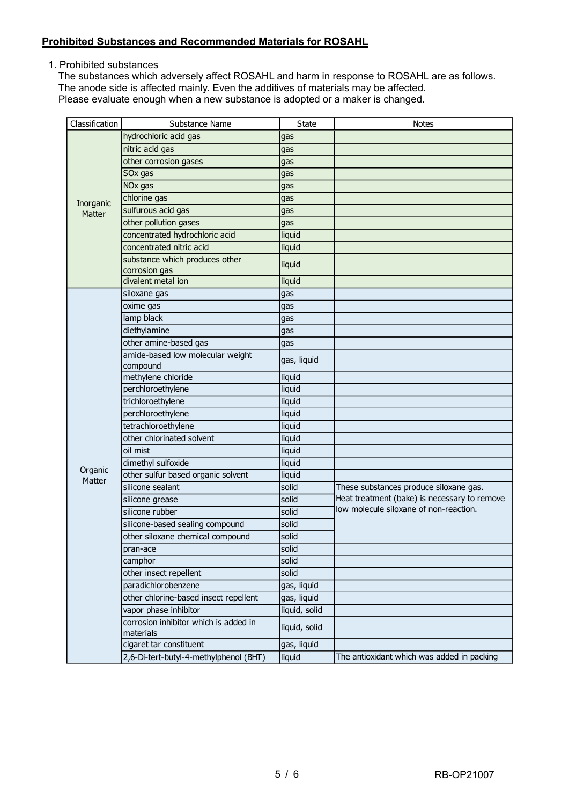#### **Prohibited Substances and Recommended Materials for ROSAHL**

1. Prohibited substances

The substances which adversely affect ROSAHL and harm in response to ROSAHL are as follows. The anode side is affected mainly. Even the additives of materials may be affected. Please evaluate enough when a new substance is adopted or a maker is changed.

| Classification      | Substance Name                                     | <b>State</b>  | <b>Notes</b>                                 |
|---------------------|----------------------------------------------------|---------------|----------------------------------------------|
|                     | hydrochloric acid gas                              | gas           |                                              |
|                     | nitric acid gas                                    | gas           |                                              |
|                     | other corrosion gases                              | gas           |                                              |
|                     | SOx gas                                            | gas           |                                              |
|                     | NO <sub>x</sub> gas                                | gas           |                                              |
| Inorganic           | chlorine gas                                       | gas           |                                              |
| <b>Matter</b>       | sulfurous acid gas                                 | gas           |                                              |
|                     | other pollution gases                              | gas           |                                              |
|                     | concentrated hydrochloric acid                     | liquid        |                                              |
|                     | concentrated nitric acid                           | liquid        |                                              |
|                     | substance which produces other                     | liquid        |                                              |
|                     | corrosion gas                                      |               |                                              |
|                     | divalent metal ion                                 | liquid        |                                              |
|                     | siloxane gas                                       | gas           |                                              |
|                     | oxime gas                                          | gas           |                                              |
|                     | lamp black                                         | gas           |                                              |
|                     | diethylamine                                       | gas           |                                              |
|                     | other amine-based gas                              | gas           |                                              |
|                     | amide-based low molecular weight                   | gas, liquid   |                                              |
|                     | compound                                           |               |                                              |
|                     | methylene chloride                                 | liquid        |                                              |
|                     | perchloroethylene                                  | liquid        |                                              |
|                     | trichloroethylene                                  | liquid        |                                              |
|                     | perchloroethylene                                  | liquid        |                                              |
|                     | tetrachloroethylene                                | liquid        |                                              |
|                     | other chlorinated solvent                          | liquid        |                                              |
|                     | oil mist                                           | liquid        |                                              |
| Organic             | dimethyl sulfoxide                                 | liquid        |                                              |
| Matter              | other sulfur based organic solvent                 | liquid        |                                              |
|                     | silicone sealant                                   | solid         | These substances produce siloxane gas.       |
|                     | silicone grease                                    | solid         | Heat treatment (bake) is necessary to remove |
|                     | silicone rubber                                    | solid         | low molecule siloxane of non-reaction.       |
|                     | silicone-based sealing compound                    | solid         |                                              |
|                     | other siloxane chemical compound                   | solid         |                                              |
| pran-ace<br>camphor |                                                    | solid         |                                              |
|                     |                                                    | solid         |                                              |
|                     | other insect repellent                             | solid         |                                              |
|                     | paradichlorobenzene                                | gas, liquid   |                                              |
|                     | other chlorine-based insect repellent              | gas, liquid   |                                              |
|                     | vapor phase inhibitor                              | liquid, solid |                                              |
|                     | corrosion inhibitor which is added in<br>materials | liquid, solid |                                              |
|                     | cigaret tar constituent                            | gas, liquid   |                                              |
|                     | 2,6-Di-tert-butyl-4-methylphenol (BHT)             | liquid        | The antioxidant which was added in packing   |